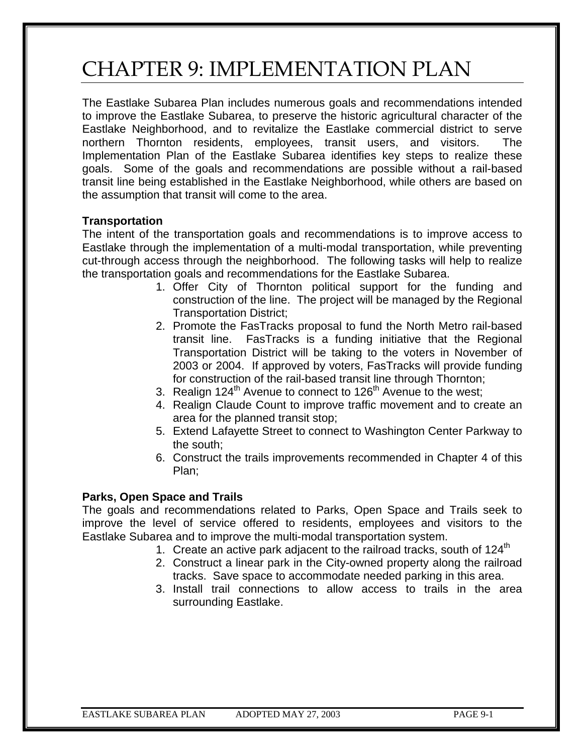# CHAPTER 9: IMPLEMENTATION PLAN

The Eastlake Subarea Plan includes numerous goals and recommendations intended to improve the Eastlake Subarea, to preserve the historic agricultural character of the Eastlake Neighborhood, and to revitalize the Eastlake commercial district to serve northern Thornton residents, employees, transit users, and visitors. The Implementation Plan of the Eastlake Subarea identifies key steps to realize these goals. Some of the goals and recommendations are possible without a rail-based transit line being established in the Eastlake Neighborhood, while others are based on the assumption that transit will come to the area.

#### **Transportation**

The intent of the transportation goals and recommendations is to improve access to Eastlake through the implementation of a multi-modal transportation, while preventing cut-through access through the neighborhood. The following tasks will help to realize the transportation goals and recommendations for the Eastlake Subarea.

- 1. Offer City of Thornton political support for the funding and construction of the line. The project will be managed by the Regional Transportation District;
- 2. Promote the FasTracks proposal to fund the North Metro rail-based transit line. FasTracks is a funding initiative that the Regional Transportation District will be taking to the voters in November of 2003 or 2004. If approved by voters, FasTracks will provide funding for construction of the rail-based transit line through Thornton;
- 3. Realign  $124<sup>th</sup>$  Avenue to connect to  $126<sup>th</sup>$  Avenue to the west;
- 4. Realign Claude Count to improve traffic movement and to create an area for the planned transit stop;
- 5. Extend Lafayette Street to connect to Washington Center Parkway to the south;
- 6. Construct the trails improvements recommended in Chapter 4 of this Plan;

## **Parks, Open Space and Trails**

The goals and recommendations related to Parks, Open Space and Trails seek to improve the level of service offered to residents, employees and visitors to the Eastlake Subarea and to improve the multi-modal transportation system.

- 1. Create an active park adjacent to the railroad tracks, south of  $124<sup>th</sup>$
- 2. Construct a linear park in the City-owned property along the railroad tracks. Save space to accommodate needed parking in this area.
- 3. Install trail connections to allow access to trails in the area surrounding Eastlake.